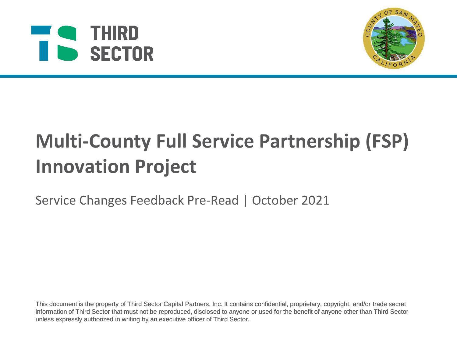# **A** THIRD SECTOR



# **Multi-County Full Service Partnership (FSP)**<br>
Service Changes Feedback Pre-Read | October 2021<br>
Service Changes Feedback Pre-Read | October 2021<br>
This document is the property of Third Sector Capital Partners, Inc. It con **Innovation Project**

Service Changes Feedback Pre-Read | October 2021

This document is the property of Third Sector Capital Partners, Inc. It contains confidential, proprietary, copyright, and/or trade secret information of Third Sector that must not be reproduced, disclosed to anyone or used for the benefit of anyone other than Third Sector unless expressly authorized in writing by an executive officer of Third Sector.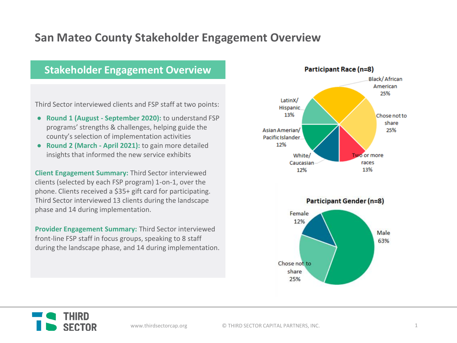### **San Mateo County Stakeholder Engagement Overview**

### **Stakeholder Engagement Overview**

Third Sector interviewed clients and FSP staff at two points:

- **Round 1 (August - September 2020):** to understand FSP programs' strengths & challenges, helping guide the county's selection of implementation activities
- **Round 2 (March - April 2021):** to gain more detailed insights that informed the new service exhibits

**Client Engagement Summary:** Third Sector interviewed clients (selected by each FSP program) 1-on-1, over the phone. Clients received a \$35+ gift card for participating. Third Sector interviewed 13 clients during the landscape phase and 14 during implementation.

**Provider Engagement Summary:** Third Sector interviewed front-line FSP staff in focus groups, speaking to 8 staff during the landscape phase, and 14 during implementation.





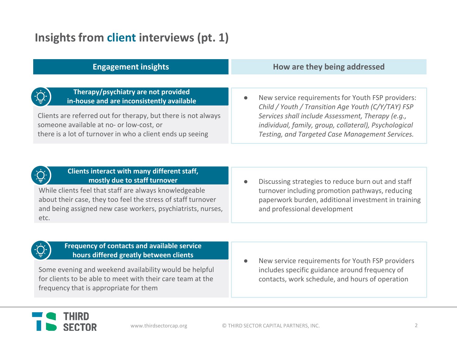### **Insights from client interviews (pt. 1)**

| <b>Engagement insights</b>                                                                                                                                          | How are they being addressed                                                                                                                                 |
|---------------------------------------------------------------------------------------------------------------------------------------------------------------------|--------------------------------------------------------------------------------------------------------------------------------------------------------------|
| ׇ֝֓׆֛֛<br>׆ׇ֛֛<br>Therapy/psychiatry are not provided<br>in-house and are inconsistently available<br>Clients are referred out for therapy, but there is not always | New service requirements for Youth FSP providers:<br>Child / Youth / Transition Age Youth (C/Y/TAY) FSP<br>Services shall include Assessment, Therapy (e.g., |
| someone available at no- or low-cost, or<br>there is a lot of turnover in who a client ends up seeing                                                               | individual, family, group, collateral), Psychological<br>Testing, and Targeted Case Management Services.                                                     |



### **Clients interact with many different staff, mostly due to staff turnover**

While clients feel that staff are always knowledgeable about their case, they too feel the stress of staff turnover and being assigned new case workers, psychiatrists, nurses, etc.

Discussing strategies to reduce burn out and staff turnover including promotion pathways, reducing paperwork burden, additional investment in training and professional development



### **Frequency of contacts and available service hours differed greatly between clients**

Some evening and weekend availability would be helpful for clients to be able to meet with their care team at the frequency that is appropriate for them

New service requirements for Youth FSP providers includes specific guidance around frequency of contacts, work schedule, and hours of operation

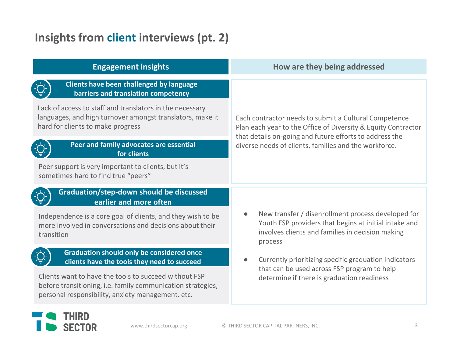## **Insights from client interviews (pt. 2)**

| <b>Engagement insights</b>                                                                                                                                                | How are they being addressed                                                                                                                                                                                                               |
|---------------------------------------------------------------------------------------------------------------------------------------------------------------------------|--------------------------------------------------------------------------------------------------------------------------------------------------------------------------------------------------------------------------------------------|
| Clients have been challenged by language<br>barriers and translation competency                                                                                           |                                                                                                                                                                                                                                            |
| Lack of access to staff and translators in the necessary<br>languages, and high turnover amongst translators, make it<br>hard for clients to make progress                | Each contractor needs to submit a Cultural Competence<br>Plan each year to the Office of Diversity & Equity Contractor<br>that details on-going and future efforts to address the<br>diverse needs of clients, families and the workforce. |
| Peer and family advocates are essential<br>for clients                                                                                                                    |                                                                                                                                                                                                                                            |
| Peer support is very important to clients, but it's<br>sometimes hard to find true "peers"                                                                                |                                                                                                                                                                                                                                            |
| Graduation/step-down should be discussed<br>earlier and more often                                                                                                        |                                                                                                                                                                                                                                            |
| Independence is a core goal of clients, and they wish to be<br>more involved in conversations and decisions about their<br>transition                                     | New transfer / disenrollment process developed for<br>$\bullet$<br>Youth FSP providers that begins at initial intake and<br>involves clients and families in decision making<br>process                                                    |
| <b>Graduation should only be considered once</b><br>clients have the tools they need to succeed                                                                           | Currently prioritizing specific graduation indicators<br>$\bullet$<br>that can be used across FSP program to help<br>determine if there is graduation readiness                                                                            |
| Clients want to have the tools to succeed without FSP<br>before transitioning, i.e. family communication strategies,<br>personal responsibility, anxiety management. etc. |                                                                                                                                                                                                                                            |

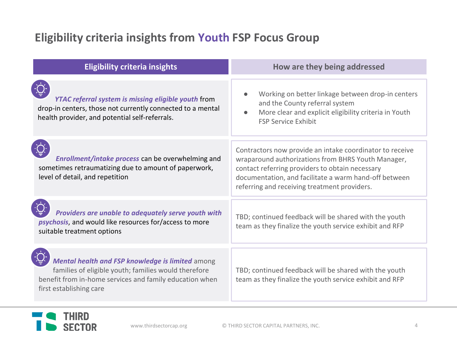### **Eligibility criteria insights from Youth FSP Focus Group**

| <b>Eligibility criteria insights</b>                                                                                                                                                           | How are they being addressed                                                                                                                                                                                                                                               |
|------------------------------------------------------------------------------------------------------------------------------------------------------------------------------------------------|----------------------------------------------------------------------------------------------------------------------------------------------------------------------------------------------------------------------------------------------------------------------------|
| YTAC referral system is missing eligible youth from<br>drop-in centers, those not currently connected to a mental<br>health provider, and potential self-referrals.                            | Working on better linkage between drop-in centers<br>and the County referral system<br>More clear and explicit eligibility criteria in Youth<br><b>FSP Service Exhibit</b>                                                                                                 |
| Enrollment/intake process can be overwhelming and<br>sometimes retraumatizing due to amount of paperwork,<br>level of detail, and repetition                                                   | Contractors now provide an intake coordinator to receive<br>wraparound authorizations from BHRS Youth Manager,<br>contact referring providers to obtain necessary<br>documentation, and facilitate a warm hand-off between<br>referring and receiving treatment providers. |
| Providers are unable to adequately serve youth with<br>psychosis, and would like resources for/access to more<br>suitable treatment options                                                    | TBD; continued feedback will be shared with the youth<br>team as they finalize the youth service exhibit and RFP                                                                                                                                                           |
| Mental health and FSP knowledge is limited among<br>families of eligible youth; families would therefore<br>benefit from in-home services and family education when<br>first establishing care | TBD; continued feedback will be shared with the youth<br>team as they finalize the youth service exhibit and RFP                                                                                                                                                           |

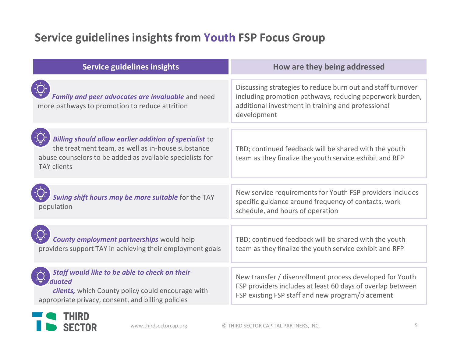### **Service guidelines insights from Youth FSP Focus Group**

| <b>Service guidelines insights</b>                                                                                                                                                             | How are they being addressed                                                                                                                                                                 |
|------------------------------------------------------------------------------------------------------------------------------------------------------------------------------------------------|----------------------------------------------------------------------------------------------------------------------------------------------------------------------------------------------|
| Family and peer advocates are invaluable and need<br>more pathways to promotion to reduce attrition                                                                                            | Discussing strategies to reduce burn out and staff turnover<br>including promotion pathways, reducing paperwork burden,<br>additional investment in training and professional<br>development |
| Billing should allow earlier addition of specialist to<br>the treatment team, as well as in-house substance<br>abuse counselors to be added as available specialists for<br><b>TAY clients</b> | TBD; continued feedback will be shared with the youth<br>team as they finalize the youth service exhibit and RFP                                                                             |
| Swing shift hours may be more suitable for the TAY<br>population                                                                                                                               | New service requirements for Youth FSP providers includes<br>specific guidance around frequency of contacts, work<br>schedule, and hours of operation                                        |
| <b>County employment partnerships would help</b><br>providers support TAY in achieving their employment goals                                                                                  | TBD; continued feedback will be shared with the youth<br>team as they finalize the youth service exhibit and RFP                                                                             |
| Staff would like to be able to check on their                                                                                                                                                  | New transfer / disenrollment process developed for Youth                                                                                                                                     |
| duated<br>clients, which County policy could encourage with<br>appropriate privacy, consent, and billing policies                                                                              | FSP providers includes at least 60 days of overlap between<br>FSP existing FSP staff and new program/placement                                                                               |

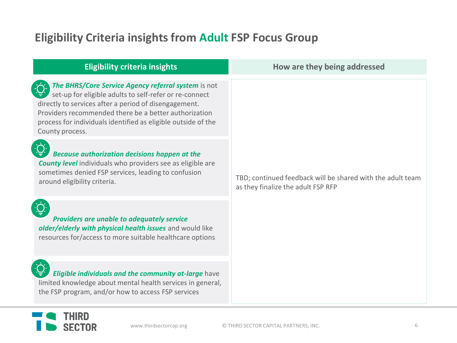### **Eligibility Criteria insights from Adult FSP Focus Group**

| <b>Eligibility criteria insights</b>                                                                                                                                                                                                                                                                                | How are they being addressed                                                                     |
|---------------------------------------------------------------------------------------------------------------------------------------------------------------------------------------------------------------------------------------------------------------------------------------------------------------------|--------------------------------------------------------------------------------------------------|
| The BHRS/Core Service Agency referral system is not<br>set-up for eligible adults to self-refer or re-connect<br>directly to services after a period of disengagement.<br>Providers recommended there be a better authorization<br>process for individuals identified as eligible outside of the<br>County process. | TBD; continued feedback will be shared with the adult team<br>as they finalize the adult FSP RFP |
| Because authorization decisions happen at the<br><b>County level</b> individuals who providers see as eligible are<br>sometimes denied FSP services, leading to confusion<br>around eligibility criteria.                                                                                                           |                                                                                                  |
| Providers are unable to adequately service<br>older/elderly with physical health issues and would like<br>resources for/access to more suitable healthcare options                                                                                                                                                  |                                                                                                  |
| Eligible individuals and the community at-large have<br>limited knowledge about mental health services in general,<br>the FSP program, and/or how to access FSP services                                                                                                                                            |                                                                                                  |

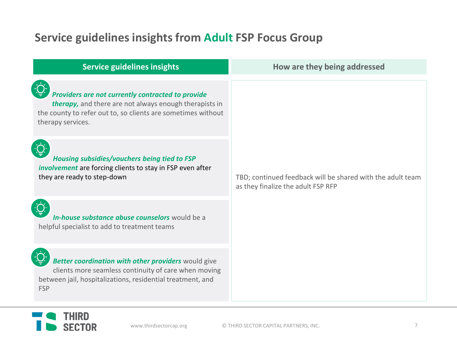### **Service guidelines insights from Adult FSP Focus Group**

| <b>Service guidelines insights</b>                                                                                                                                                               | How are they being addressed                                                                     |
|--------------------------------------------------------------------------------------------------------------------------------------------------------------------------------------------------|--------------------------------------------------------------------------------------------------|
| Providers are not currently contracted to provide<br>therapy, and there are not always enough therapists in<br>the county to refer out to, so clients are sometimes without<br>therapy services. | TBD; continued feedback will be shared with the adult team<br>as they finalize the adult FSP RFP |
| Housing subsidies/vouchers being tied to FSP<br>involvement are forcing clients to stay in FSP even after<br>they are ready to step-down                                                         |                                                                                                  |
| In-house substance abuse counselors would be a<br>helpful specialist to add to treatment teams                                                                                                   |                                                                                                  |
| Better coordination with other providers would give<br>clients more seamless continuity of care when moving<br>between jail, hospitalizations, residential treatment, and<br><b>FSP</b>          |                                                                                                  |